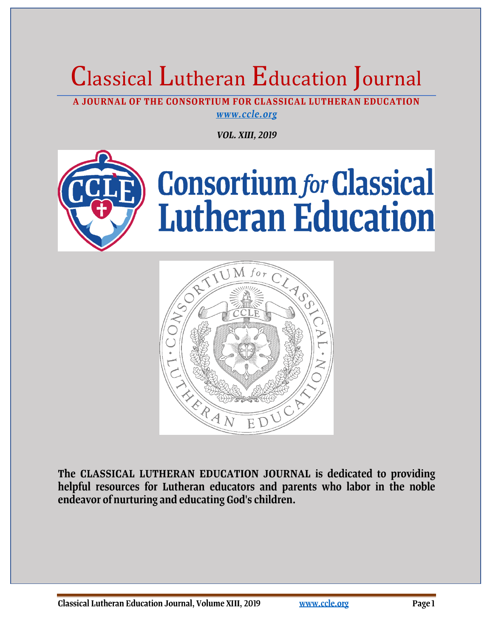# Classical Lutheran Education Journal

A JOURNAL OF THE CONSORTIUM FOR CLASSICAL LUTHERAN EDUCATION www.ccle.org

**VOL. XIII, 2019** 





The CLASSICAL LUTHERAN EDUCATION JOURNAL is dedicated to providing helpful resources for Lutheran educators and parents who labor in the noble endeavor of nurturing and educating God's children.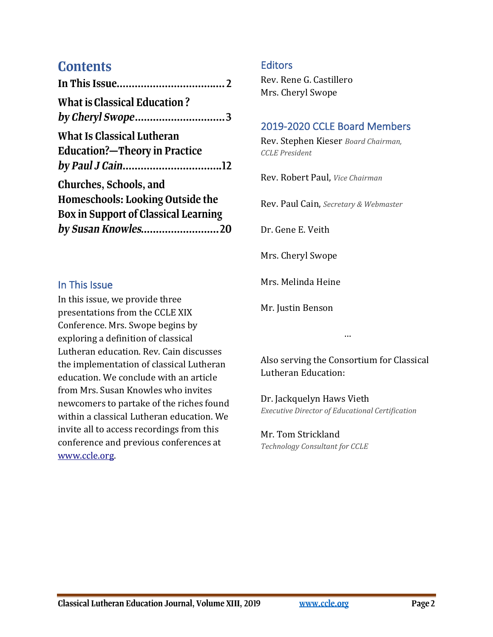## **Contents**

| What is Classical Education?                |
|---------------------------------------------|
|                                             |
| <b>What Is Classical Lutheran</b>           |
| <b>Education?-Theory in Practice</b>        |
|                                             |
| Churches, Schools, and                      |
| <b>Homeschools: Looking Outside the</b>     |
| <b>Box in Support of Classical Learning</b> |
| by Susan Knowles20                          |
|                                             |

#### In This Issue

In this issue, we provide three presentations from the CCLE XIX Conference. Mrs. Swope begins by exploring a definition of classical Lutheran education. Rev. Cain discusses the implementation of classical Lutheran education. We conclude with an article from Mrs. Susan Knowles who invites newcomers to partake of the riches found within a classical Lutheran education. We invite all to access recordings from this conference and previous conferences at [www.ccle.org.](http://www.ccle.org/)

#### **Editors**

Rev. Rene G. Castillero Mrs. Cheryl Swope

### 2019-2020 CCLE Board Members

Rev. Stephen Kieser *Board Chairman, CCLE President*

Rev. Robert Paul, *Vice Chairman*

[Rev. Pau](#page-19-0)l Cain, *Secretary & Webmaster*

Dr. Gene E. Veith

Mrs. Cheryl Swope

Mrs. Melinda Heine

Mr. Justin Benson

Also serving the Consortium for Classical Lutheran Education:

…

Dr. Jackquelyn Haws Vieth *Executive Director of Educational Certification*

#### Mr. Tom Strickland *Technology Consultant for CCLE*

Classical Lutheran Education Journal, Volume XIII, 2019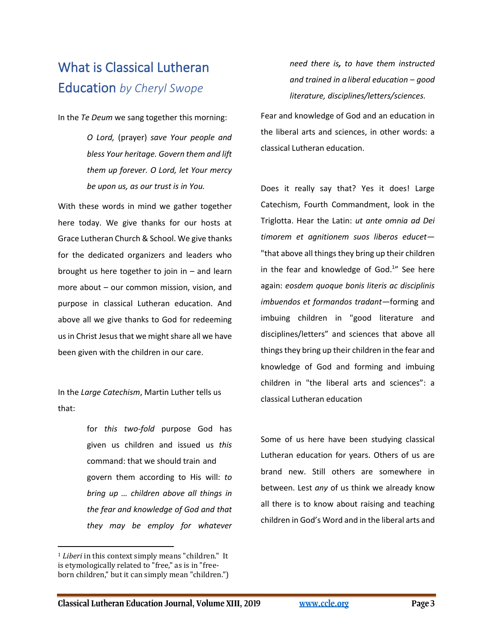# What is Classical Lutheran Education *by Cheryl Swope*

In the *Te Deum* we sang together this morning:

*O Lord,* (prayer) *save Your people and bless Your heritage. Govern them and lift them up forever. O Lord, let Your mercy be upon us, as our trust is in You.*

With these words in mind we gather together here today. We give thanks for our hosts at Grace Lutheran Church & School. We give thanks for the dedicated organizers and leaders who brought us here together to join in – and learn more about – our common mission, vision, and purpose in classical Lutheran education. And above all we give thanks to God for redeeming us in Christ Jesus that we might share all we have been given with the children in our care.

In the *Large Catechism*, Martin Luther tells us that:

> for *this two-fold* purpose God has given us children and issued us *this* command: that we should train and govern them according to His will: *to bring up … children above all things in the fear and knowledge of God and that they may be employ for whatever*

<sup>1</sup> *Liberi* in this context simply means "children." It is etymologically related to "free," as is in "freeborn children," but it can simply mean "children.") *need there is, to have them instructed and trained in a liberal education – good literature, disciplines/letters/sciences.* 

Fear and knowledge of God and an education in the liberal arts and sciences, in other words: a classical Lutheran education.

Does it really say that? Yes it does! Large Catechism, Fourth Commandment, look in the Triglotta. Hear the Latin: *ut ante omnia ad Dei timorem et agnitionem suos liberos educet*— "that above all things they bring up their children in the fear and knowledge of God. 1 " See here again: *eosdem quoque bonis literis ac disciplinis imbuendos et formandos tradant—*forming and imbuing children in "good literature and disciplines/letters" and sciences that above all things they bring up their children in the fear and knowledge of God and forming and imbuing children in "the liberal arts and sciences": a classical Lutheran education

Some of us here have been studying classical Lutheran education for years. Others of us are brand new. Still others are somewhere in between. Lest *any* of us think we already know all there is to know about raising and teaching children in God's Word and in the liberal arts and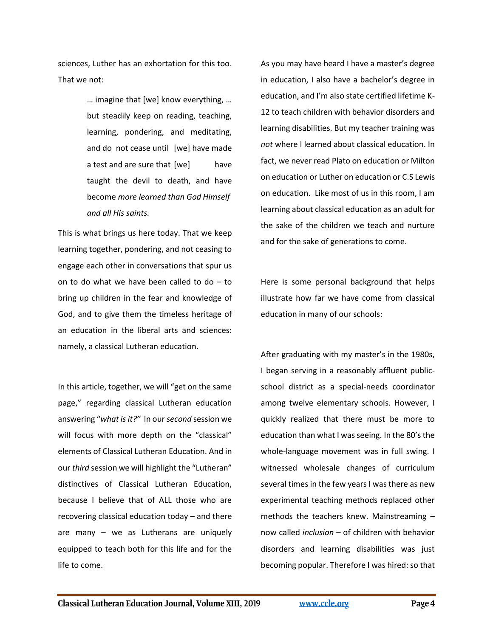sciences, Luther has an exhortation for this too. That we not:

> … imagine that [we] know everything, … but steadily keep on reading, teaching, learning, pondering, and meditating, and do not cease until [we] have made a test and are sure that [we] have taught the devil to death, and have become *more learned than God Himself and all His saints.*

This is what brings us here today. That we keep learning together, pondering, and not ceasing to engage each other in conversations that spur us on to do what we have been called to do – to bring up children in the fear and knowledge of God, and to give them the timeless heritage of an education in the liberal arts and sciences: namely, a classical Lutheran education.

In this article, together, we will "get on the same page," regarding classical Lutheran education answering "*what is it?"* In our *second* session we will focus with more depth on the "classical" elements of Classical Lutheran Education. And in our *third* session we will highlight the "Lutheran" distinctives of Classical Lutheran Education, because I believe that of ALL those who are recovering classical education today – and there are many – we as Lutherans are uniquely equipped to teach both for this life and for the life to come.

As you may have heard I have a master's degree in education, I also have a bachelor's degree in education, and I'm also state certified lifetime K-12 to teach children with behavior disorders and learning disabilities. But my teacher training was *not* where I learned about classical education. In fact, we never read Plato on education or Milton on education or Luther on education or C.S Lewis on education. Like most of us in this room, I am learning about classical education as an adult for the sake of the children we teach and nurture and for the sake of generations to come.

Here is some personal background that helps illustrate how far we have come from classical education in many of our schools:

After graduating with my master's in the 1980s, I began serving in a reasonably affluent publicschool district as a special-needs coordinator among twelve elementary schools. However, I quickly realized that there must be more to education than what I was seeing. In the 80's the whole-language movement was in full swing. I witnessed wholesale changes of curriculum several times in the few years I was there as new experimental teaching methods replaced other methods the teachers knew. Mainstreaming – now called *inclusion* – of children with behavior disorders and learning disabilities was just becoming popular. Therefore I was hired: so that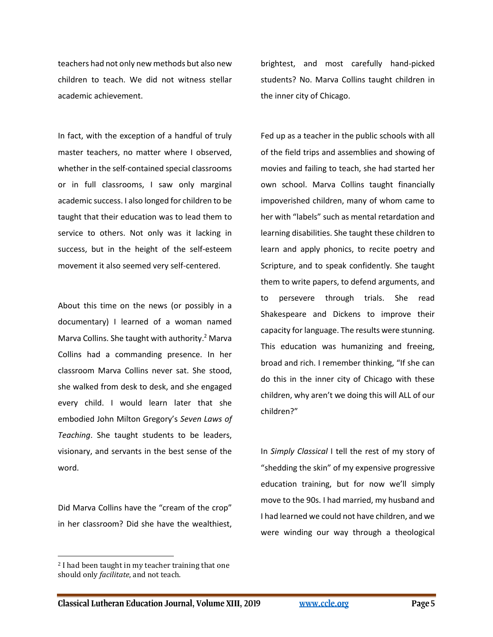teachers had not only new methods but also new children to teach. We did not witness stellar academic achievement.

In fact, with the exception of a handful of truly master teachers, no matter where I observed, whether in the self-contained special classrooms or in full classrooms, I saw only marginal academic success. I also longed for children to be taught that their education was to lead them to service to others. Not only was it lacking in success, but in the height of the self-esteem movement it also seemed very self-centered.

About this time on the news (or possibly in a documentary) I learned of a woman named Marva Collins. She taught with authority.<sup>2</sup> Marva Collins had a commanding presence. In her classroom Marva Collins never sat. She stood, she walked from desk to desk, and she engaged every child. I would learn later that she embodied John Milton Gregory's *Seven Laws of Teaching*. She taught students to be leaders, visionary, and servants in the best sense of the word.

Did Marva Collins have the "cream of the crop" in her classroom? Did she have the wealthiest,

<sup>2</sup> I had been taught in my teacher training that one should only *facilitate*, and not teach.

brightest, and most carefully hand-picked students? No. Marva Collins taught children in the inner city of Chicago.

Fed up as a teacher in the public schools with all of the field trips and assemblies and showing of movies and failing to teach, she had started her own school. Marva Collins taught financially impoverished children, many of whom came to her with "labels" such as mental retardation and learning disabilities. She taught these children to learn and apply phonics, to recite poetry and Scripture, and to speak confidently. She taught them to write papers, to defend arguments, and to persevere through trials. She read Shakespeare and Dickens to improve their capacity for language. The results were stunning. This education was humanizing and freeing, broad and rich. I remember thinking, "If she can do this in the inner city of Chicago with these children, why aren't we doing this will ALL of our children?"

In *Simply Classical* I tell the rest of my story of "shedding the skin" of my expensive progressive education training, but for now we'll simply move to the 90s. I had married, my husband and I had learned we could not have children, and we were winding our way through a theological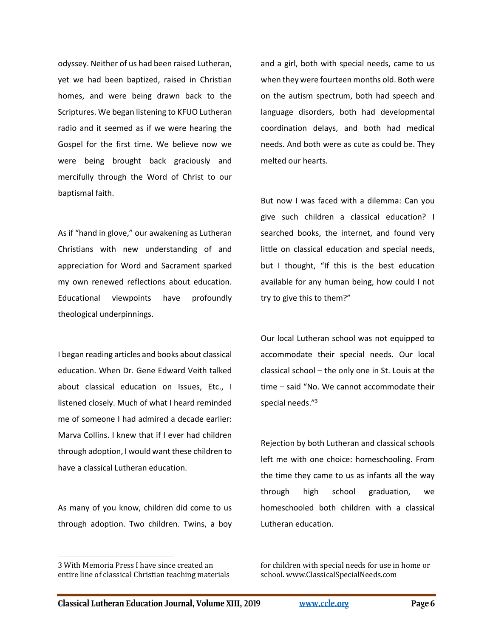odyssey. Neither of us had been raised Lutheran, yet we had been baptized, raised in Christian homes, and were being drawn back to the Scriptures. We began listening to KFUO Lutheran radio and it seemed as if we were hearing the Gospel for the first time. We believe now we were being brought back graciously and mercifully through the Word of Christ to our baptismal faith.

As if "hand in glove," our awakening as Lutheran Christians with new understanding of and appreciation for Word and Sacrament sparked my own renewed reflections about education. Educational viewpoints have profoundly theological underpinnings.

I began reading articles and books about classical education. When Dr. Gene Edward Veith talked about classical education on Issues, Etc., I listened closely. Much of what I heard reminded me of someone I had admired a decade earlier: Marva Collins. I knew that if I ever had children through adoption, I would want these children to have a classical Lutheran education.

As many of you know, children did come to us through adoption. Two children. Twins, a boy and a girl, both with special needs, came to us when they were fourteen months old. Both were on the autism spectrum, both had speech and language disorders, both had developmental coordination delays, and both had medical needs. And both were as cute as could be. They melted our hearts.

But now I was faced with a dilemma: Can you give such children a classical education? I searched books, the internet, and found very little on classical education and special needs, but I thought, "If this is the best education available for any human being, how could I not try to give this to them?"

Our local Lutheran school was not equipped to accommodate their special needs. Our local classical school – the only one in St. Louis at the time – said "No. We cannot accommodate their special needs."<sup>3</sup>

Rejection by both Lutheran and classical schools left me with one choice: homeschooling. From the time they came to us as infants all the way through high school graduation, we homeschooled both children with a classical Lutheran education.

for children with special needs for use in home or school. www.ClassicalSpecialNeeds.com

<sup>3</sup> With Memoria Press I have since created an entire line of classical Christian teaching materials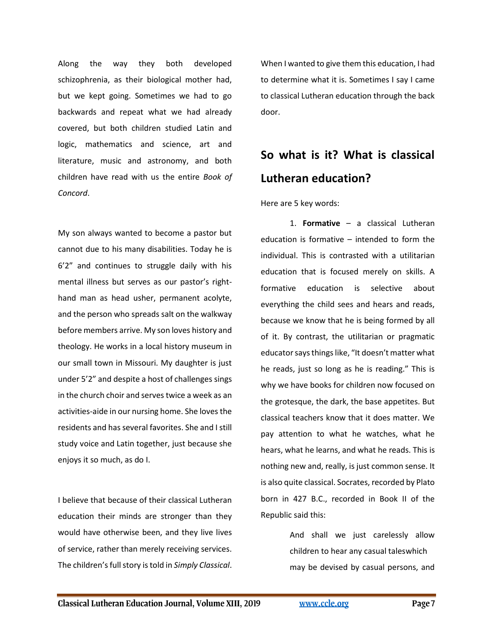Along the way they both developed schizophrenia, as their biological mother had, but we kept going. Sometimes we had to go backwards and repeat what we had already covered, but both children studied Latin and logic, mathematics and science, art and literature, music and astronomy, and both children have read with us the entire *Book of Concord*.

My son always wanted to become a pastor but cannot due to his many disabilities. Today he is 6'2" and continues to struggle daily with his mental illness but serves as our pastor's righthand man as head usher, permanent acolyte, and the person who spreads salt on the walkway before members arrive. My son loves history and theology. He works in a local history museum in our small town in Missouri. My daughter is just under 5'2" and despite a host of challenges sings in the church choir and serves twice a week as an activities-aide in our nursing home. She loves the residents and has several favorites. She and I still study voice and Latin together, just because she enjoys it so much, as do I.

I believe that because of their classical Lutheran education their minds are stronger than they would have otherwise been, and they live lives of service, rather than merely receiving services. The children's full story is told in *Simply Classical*.

When I wanted to give them this education, I had to determine what it is. Sometimes I say I came to classical Lutheran education through the back door.

# **So what is it? What is classical Lutheran education?**

Here are 5 key words:

1. **Formative** – a classical Lutheran education is formative – intended to form the individual. This is contrasted with a utilitarian education that is focused merely on skills. A formative education is selective about everything the child sees and hears and reads, because we know that he is being formed by all of it. By contrast, the utilitarian or pragmatic educator says things like, "It doesn't matter what he reads, just so long as he is reading." This is why we have books for children now focused on the grotesque, the dark, the base appetites. But classical teachers know that it does matter. We pay attention to what he watches, what he hears, what he learns, and what he reads. This is nothing new and, really, is just common sense. It is also quite classical. Socrates, recorded by Plato born in 427 B.C., recorded in Book II of the Republic said this:

> And shall we just carelessly allow children to hear any casual taleswhich may be devised by casual persons, and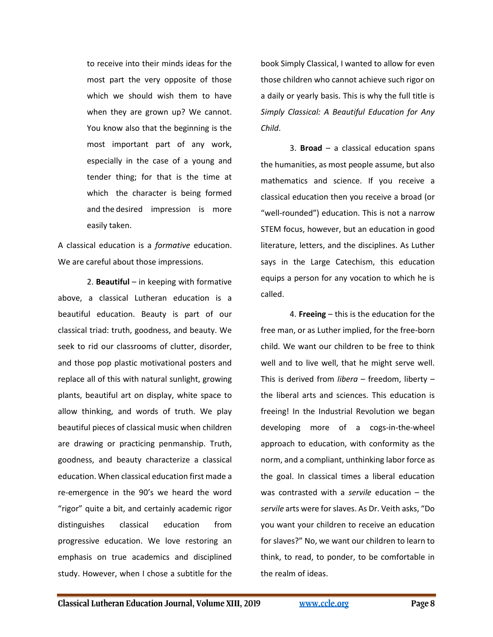to receive into their minds ideas for the most part the very opposite of those which we should wish them to have when they are grown up? We cannot. You know also that the beginning is the most important part of any work, especially in the case of a young and tender thing; for that is the time at which the character is being formed and the desired impression is more easily taken.

A classical education is a *formative* education. We are careful about those impressions.

2. **Beautiful** – in keeping with formative above, a classical Lutheran education is a beautiful education. Beauty is part of our classical triad: truth, goodness, and beauty. We seek to rid our classrooms of clutter, disorder, and those pop plastic motivational posters and replace all of this with natural sunlight, growing plants, beautiful art on display, white space to allow thinking, and words of truth. We play beautiful pieces of classical music when children are drawing or practicing penmanship. Truth, goodness, and beauty characterize a classical education. When classical education first made a re-emergence in the 90's we heard the word "rigor" quite a bit, and certainly academic rigor distinguishes classical education from progressive education. We love restoring an emphasis on true academics and disciplined study. However, when I chose a subtitle for the

book Simply Classical, I wanted to allow for even those children who cannot achieve such rigor on a daily or yearly basis. This is why the full title is *Simply Classical: A Beautiful Education for Any Child*.

3. **Broad** – a classical education spans the humanities, as most people assume, but also mathematics and science. If you receive a classical education then you receive a broad (or "well-rounded") education. This is not a narrow STEM focus, however, but an education in good literature, letters, and the disciplines. As Luther says in the Large Catechism, this education equips a person for any vocation to which he is called.

4. **Freeing** – this is the education for the free man, or as Luther implied, for the free-born child. We want our children to be free to think well and to live well, that he might serve well. This is derived from *libera* – freedom, liberty – the liberal arts and sciences. This education is freeing! In the Industrial Revolution we began developing more of a cogs-in-the-wheel approach to education, with conformity as the norm, and a compliant, unthinking labor force as the goal. In classical times a liberal education was contrasted with a *servile* education – the *servile* arts were for slaves. As Dr. Veith asks, "Do you want your children to receive an education for slaves?" No, we want our children to learn to think, to read, to ponder, to be comfortable in the realm of ideas.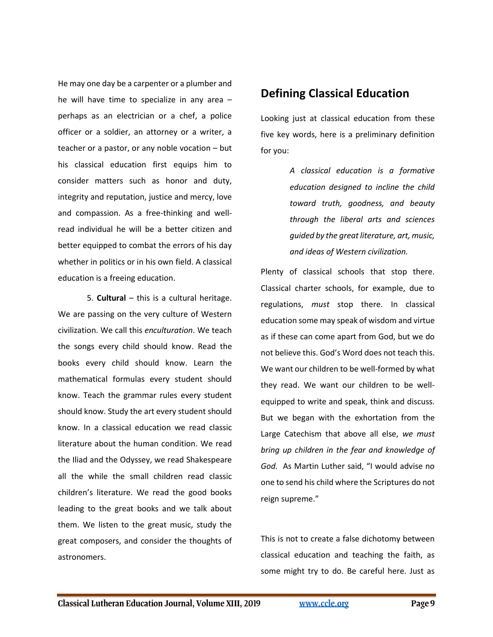He may one day be a carpenter or a plumber and he will have time to specialize in any area – perhaps as an electrician or a chef, a police officer or a soldier, an attorney or a writer, a teacher or a pastor, or any noble vocation – but his classical education first equips him to consider matters such as honor and duty, integrity and reputation, justice and mercy, love and compassion. As a free-thinking and wellread individual he will be a better citizen and better equipped to combat the errors of his day whether in politics or in his own field. A classical education is a freeing education.

5. **Cultural** – this is a cultural heritage. We are passing on the very culture of Western civilization. We call this *enculturation*. We teach the songs every child should know. Read the books every child should know. Learn the mathematical formulas every student should know. Teach the grammar rules every student should know. Study the art every student should know. In a classical education we read classic literature about the human condition. We read the Iliad and the Odyssey, we read Shakespeare all the while the small children read classic children's literature. We read the good books leading to the great books and we talk about them. We listen to the great music, study the great composers, and consider the thoughts of astronomers.

## **Defining Classical Education**

Looking just at classical education from these five key words, here is a preliminary definition for you:

> *A classical education is a formative education designed to incline the child toward truth, goodness, and beauty through the liberal arts and sciences guided by the great literature, art, music, and ideas of Western civilization.*

Plenty of classical schools that stop there. Classical charter schools, for example, due to regulations, *must* stop there. In classical education some may speak of wisdom and virtue as if these can come apart from God, but we do not believe this. God's Word does not teach this. We want our children to be well-formed by what they read. We want our children to be wellequipped to write and speak, think and discuss. But we began with the exhortation from the Large Catechism that above all else, *we must bring up children in the fear and knowledge of God.* As Martin Luther said, "I would advise no one to send his child where the Scriptures do not reign supreme."

This is not to create a false dichotomy between classical education and teaching the faith, as some might try to do. Be careful here. Just as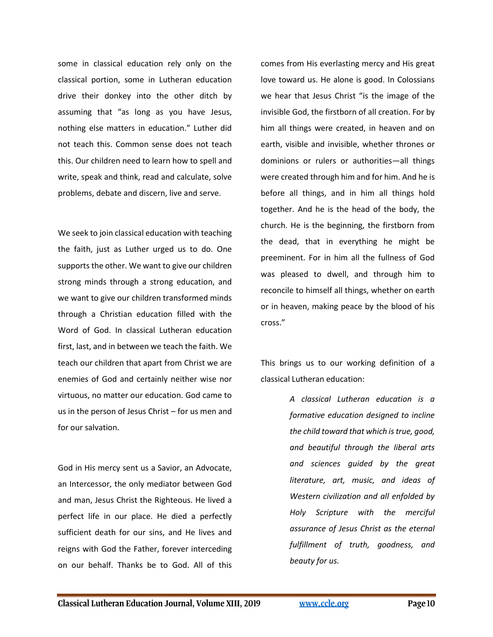some in classical education rely only on the classical portion, some in Lutheran education drive their donkey into the other ditch by assuming that "as long as you have Jesus, nothing else matters in education." Luther did not teach this. Common sense does not teach this. Our children need to learn how to spell and write, speak and think, read and calculate, solve problems, debate and discern, live and serve.

We seek to join classical education with teaching the faith, just as Luther urged us to do. One supports the other. We want to give our children strong minds through a strong education, and we want to give our children transformed minds through a Christian education filled with the Word of God. In classical Lutheran education first, last, and in between we teach the faith. We teach our children that apart from Christ we are enemies of God and certainly neither wise nor virtuous, no matter our education. God came to us in the person of Jesus Christ – for us men and for our salvation.

God in His mercy sent us a Savior, an Advocate, an Intercessor, the only mediator between God and man, Jesus Christ the Righteous. He lived a perfect life in our place. He died a perfectly sufficient death for our sins, and He lives and reigns with God the Father, forever interceding on our behalf. Thanks be to God. All of this

comes from His everlasting mercy and His great love toward us. He alone is good. In Colossians we hear that Jesus Christ "is the image of the invisible God, the firstborn of all creation. For by him all things were created, in heaven and on earth, visible and invisible, whether thrones or dominions or rulers or authorities—all things were created through him and for him. And he is before all things, and in him all things hold together. And he is the head of the body, the church. He is the beginning, the firstborn from the dead, that in everything he might be preeminent. For in him all the fullness of God was pleased to dwell, and through him to reconcile to himself all things, whether on earth or in heaven, making peace by the blood of his cross."

This brings us to our working definition of a classical Lutheran education:

> *A classical Lutheran education is a formative education designed to incline the child toward that which is true, good, and beautiful through the liberal arts and sciences guided by the great literature, art, music, and ideas of Western civilization and all enfolded by Holy Scripture with the merciful assurance of Jesus Christ as the eternal fulfillment of truth, goodness, and beauty for us.*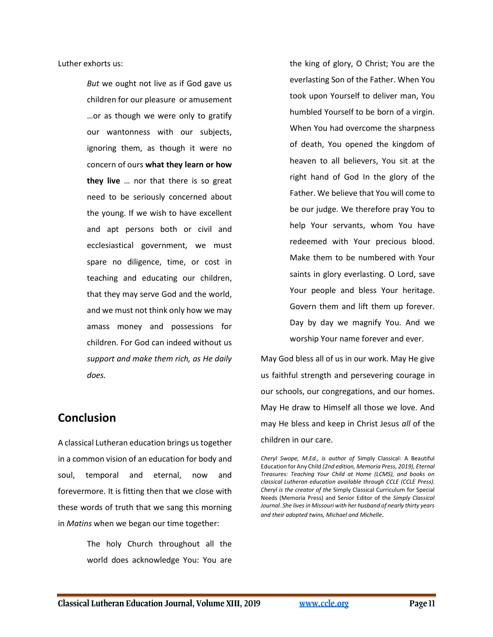Luther exhorts us:

*But* we ought not live as if God gave us children for our pleasure or amusement …or as though we were only to gratify our wantonness with our subjects, ignoring them, as though it were no concern of ours **what they learn or how they live** … nor that there is so great need to be seriously concerned about the young. If we wish to have excellent and apt persons both or civil and ecclesiastical government, we must spare no diligence, time, or cost in teaching and educating our children, that they may serve God and the world, and we must not think only how we may amass money and possessions for children. For God can indeed without us *support and make them rich, as He daily does.* 

#### **Conclusion**

A classical Lutheran education brings us together in a common vision of an education for body and soul, temporal and eternal, now and forevermore. It is fitting then that we close with these words of truth that we sang this morning in *Matins* when we began our time together:

> The holy Church throughout all the world does acknowledge You: You are

the king of glory, O Christ; You are the everlasting Son of the Father. When You took upon Yourself to deliver man, You humbled Yourself to be born of a virgin. When You had overcome the sharpness of death, You opened the kingdom of heaven to all believers, You sit at the right hand of God In the glory of the Father. We believe that You will come to be our judge. We therefore pray You to help Your servants, whom You have redeemed with Your precious blood. Make them to be numbered with Your saints in glory everlasting. O Lord, save Your people and bless Your heritage. Govern them and lift them up forever. Day by day we magnify You. And we worship Your name forever and ever.

May God bless all of us in our work. May He give us faithful strength and persevering courage in our schools, our congregations, and our homes. May He draw to Himself all those we love. And may He bless and keep in Christ Jesus *all* of the children in our care.

*Cheryl Swope, M.Ed., is author of* Simply Classical: A Beautiful Education for Any Child *(2nd edition, Memoria Press, 2019), Eternal Treasures: Teaching Your Child at Home (LCMS), and books on classical Lutheran education available through CCLE (CCLE Press). Cheryl is the creator of the* Simply Classical Curriculum for Special Needs (Memoria Press) and Senior Editor of the *Simply Classical Journal. She lives in Missouri with her husband of nearly thirty years and their adopted twins, Michael and Michelle.*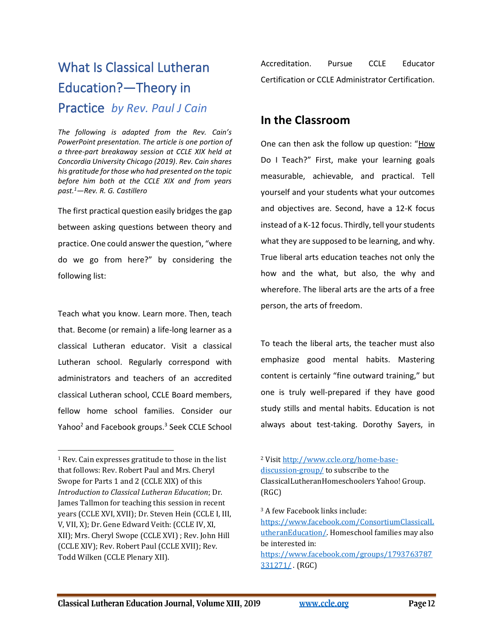# What Is Classical Lutheran Education?—Theory in Practice *by Rev. Paul J Cain*

*The following is adapted from the Rev. Cain's PowerPoint presentation. The article is one portion of a three-part breakaway session at CCLE XIX held at Concordia University Chicago (2019)*. *Rev. Cain shares his gratitude for those who had presented on the topic before him both at the CCLE XIX and from years past.<sup>1</sup>—Rev. R. G. Castillero*

The first practical question easily bridges the gap between asking questions between theory and practice. One could answer the question, "where do we go from here?" by considering the following list:

Teach what you know. Learn more. Then, teach that. Become (or remain) a life-long learner as a classical Lutheran educator. Visit a classical Lutheran school. Regularly correspond with administrators and teachers of an accredited classical Lutheran school, CCLE Board members, fellow home school families. Consider our Yahoo<sup>2</sup> and Facebook groups.<sup>3</sup> Seek CCLE School Accreditation. Pursue CCLE Educator Certification or CCLE Administrator Certification.

## **In the Classroom**

One can then ask the follow up question: "How Do I Teach?" First, make your learning goals measurable, achievable, and practical. Tell yourself and your students what your outcomes and objectives are. Second, have a 12-K focus instead of a K-12 focus. Thirdly, tell your students what they are supposed to be learning, and why. True liberal arts education teaches not only the how and the what, but also, the why and wherefore. The liberal arts are the arts of a free person, the arts of freedom.

To teach the liberal arts, the teacher must also emphasize good mental habits. Mastering content is certainly "fine outward training," but one is truly well-prepared if they have good study stills and mental habits. Education is not always about test-taking. Dorothy Sayers, in

<sup>3</sup> A few Facebook links include:

[https://www.facebook.com/ConsortiumClassicalL](https://www.facebook.com/ConsortiumClassicalLutheranEducation/) [utheranEducation/.](https://www.facebook.com/ConsortiumClassicalLutheranEducation/) Homeschool families may also be interested in: [https://www.facebook.com/groups/1793763787](https://www.facebook.com/groups/1793763787331271/) [331271/](https://www.facebook.com/groups/1793763787331271/) . (RGC)

<sup>1</sup> Rev. Cain expresses gratitude to those in the list that follows: Rev. Robert Paul and Mrs. Cheryl Swope for Parts 1 and 2 (CCLE XIX) of this *Introduction to Classical Lutheran Education*; Dr. James Tallmon for teaching this session in recent years (CCLE XVI, XVII); Dr. Steven Hein (CCLE I, III, V, VII, X); Dr. Gene Edward Veith: (CCLE IV, XI, XII); Mrs. Cheryl Swope (CCLE XVI) ; Rev. John Hill (CCLE XIV); Rev. Robert Paul (CCLE XVII); Rev. Todd Wilken (CCLE Plenary XII).

<sup>2</sup> Visi[t http://www.ccle.org/home-base](http://www.ccle.org/home-base-discussion-group/)[discussion-group/](http://www.ccle.org/home-base-discussion-group/) to subscribe to the ClassicalLutheranHomeschoolers Yahoo! Group. (RGC)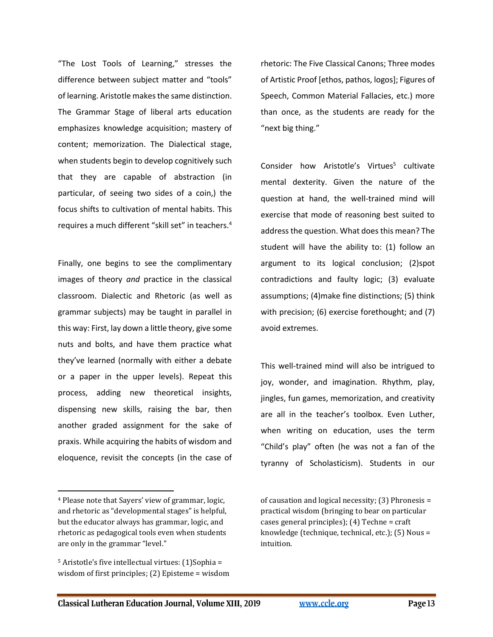"The Lost Tools of Learning," stresses the difference between subject matter and "tools" of learning. Aristotle makes the same distinction. The Grammar Stage of liberal arts education emphasizes knowledge acquisition; mastery of content; memorization. The Dialectical stage, when students begin to develop cognitively such that they are capable of abstraction (in particular, of seeing two sides of a coin,) the focus shifts to cultivation of mental habits. This requires a much different "skill set" in teachers.<sup>4</sup>

Finally, one begins to see the complimentary images of theory *and* practice in the classical classroom. Dialectic and Rhetoric (as well as grammar subjects) may be taught in parallel in this way: First, lay down a little theory, give some nuts and bolts, and have them practice what they've learned (normally with either a debate or a paper in the upper levels). Repeat this process, adding new theoretical insights, dispensing new skills, raising the bar, then another graded assignment for the sake of praxis. While acquiring the habits of wisdom and eloquence, revisit the concepts (in the case of

rhetoric: The Five Classical Canons; Three modes of Artistic Proof [ethos, pathos, logos]; Figures of Speech, Common Material Fallacies, etc.) more than once, as the students are ready for the "next big thing."

Consider how Aristotle's Virtues<sup>5</sup> cultivate mental dexterity. Given the nature of the question at hand, the well-trained mind will exercise that mode of reasoning best suited to address the question. What does this mean? The student will have the ability to: (1) follow an argument to its logical conclusion; (2)spot contradictions and faulty logic; (3) evaluate assumptions; (4)make fine distinctions; (5) think with precision; (6) exercise forethought; and (7) avoid extremes.

This well-trained mind will also be intrigued to joy, wonder, and imagination. Rhythm, play, jingles, fun games, memorization, and creativity are all in the teacher's toolbox. Even Luther, when writing on education, uses the term "Child's play" often (he was not a fan of the tyranny of Scholasticism). Students in our

of causation and logical necessity; (3) Phronesis = practical wisdom (bringing to bear on particular cases general principles); (4) Techne = craft knowledge (technique, technical, etc.); (5) Nous = intuition.

<sup>4</sup> Please note that Sayers' view of grammar, logic, and rhetoric as "developmental stages" is helpful, but the educator always has grammar, logic, and rhetoric as pedagogical tools even when students are only in the grammar "level."

<sup>5</sup> Aristotle's five intellectual virtues: (1)Sophia = wisdom of first principles; (2) Episteme = wisdom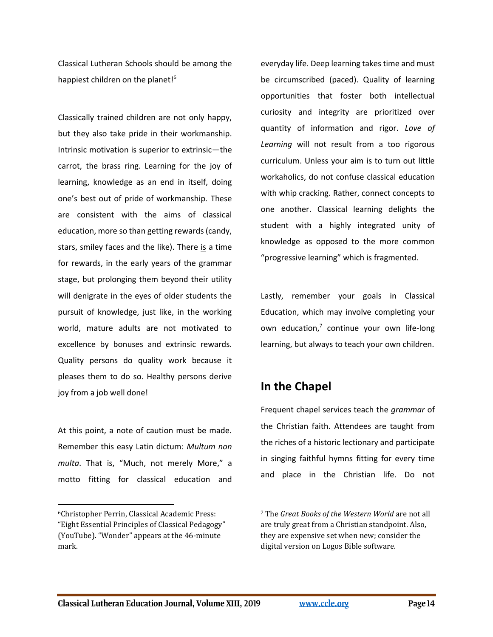Classical Lutheran Schools should be among the happiest children on the planet!<sup>6</sup>

Classically trained children are not only happy, but they also take pride in their workmanship. Intrinsic motivation is superior to extrinsic—the carrot, the brass ring. Learning for the joy of learning, knowledge as an end in itself, doing one's best out of pride of workmanship. These are consistent with the aims of classical education, more so than getting rewards (candy, stars, smiley faces and the like). There is a time for rewards, in the early years of the grammar stage, but prolonging them beyond their utility will denigrate in the eyes of older students the pursuit of knowledge, just like, in the working world, mature adults are not motivated to excellence by bonuses and extrinsic rewards. Quality persons do quality work because it pleases them to do so. Healthy persons derive joy from a job well done!

At this point, a note of caution must be made. Remember this easy Latin dictum: *Multum non multa*. That is, "Much, not merely More," a motto fitting for classical education and

everyday life. Deep learning takes time and must be circumscribed (paced). Quality of learning opportunities that foster both intellectual curiosity and integrity are prioritized over quantity of information and rigor. *Love of Learning* will not result from a too rigorous curriculum. Unless your aim is to turn out little workaholics, do not confuse classical education with whip cracking. Rather, connect concepts to one another. Classical learning delights the student with a highly integrated unity of knowledge as opposed to the more common "progressive learning" which is fragmented.

Lastly, remember your goals in Classical Education, which may involve completing your own education,<sup>7</sup> continue your own life-long learning, but always to teach your own children.

## **In the Chapel**

Frequent chapel services teach the *grammar* of the Christian faith. Attendees are taught from the riches of a historic lectionary and participate in singing faithful hymns fitting for every time and place in the Christian life. Do not

<sup>6</sup>Christopher Perrin, Classical Academic Press: "Eight Essential Principles of Classical Pedagogy" (YouTube). "Wonder" appears at the 46-minute mark.

<sup>7</sup> The *Great Books of the Western World* are not all are truly great from a Christian standpoint. Also, they are expensive set when new; consider the digital version on Logos Bible software.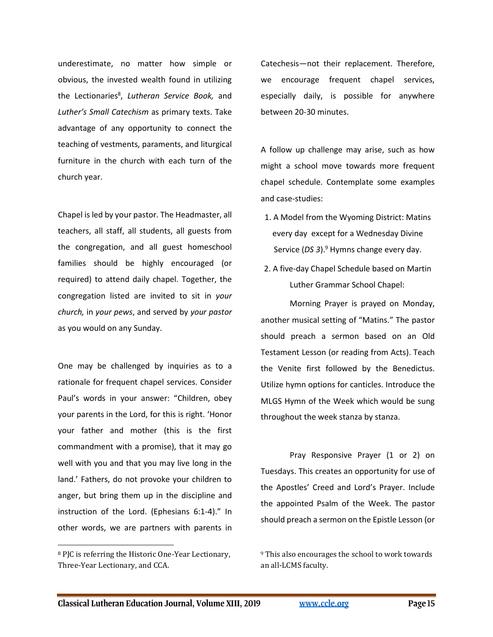underestimate, no matter how simple or obvious, the invested wealth found in utilizing the Lectionaries<sup>8</sup>, Lutheran Service Book, and *Luther's Small Catechism* as primary texts. Take advantage of any opportunity to connect the teaching of vestments, paraments, and liturgical furniture in the church with each turn of the church year.

Chapel is led by your pastor. The Headmaster, all teachers, all staff, all students, all guests from the congregation, and all guest homeschool families should be highly encouraged (or required) to attend daily chapel. Together, the congregation listed are invited to sit in *your church,* in *your pews*, and served by *your pastor*  as you would on any Sunday.

One may be challenged by inquiries as to a rationale for frequent chapel services. Consider Paul's words in your answer: "Children, obey your parents in the Lord, for this is right. 'Honor your father and mother (this is the first commandment with a promise), that it may go well with you and that you may live long in the land.' Fathers, do not provoke your children to anger, but bring them up in the discipline and instruction of the Lord. (Ephesians 6:1-4)." In other words, we are partners with parents in

<sup>8</sup> PJC is referring the Historic One-Year Lectionary, Three-Year Lectionary, and CCA.

Catechesis—not their replacement. Therefore, we encourage frequent chapel services, especially daily, is possible for anywhere between 20-30 minutes.

A follow up challenge may arise, such as how might a school move towards more frequent chapel schedule. Contemplate some examples and case-studies:

- 1. A Model from the Wyoming District: Matins every day except for a Wednesday Divine Service (DS 3).<sup>9</sup> Hymns change every day.
- 2. A five-day Chapel Schedule based on Martin Luther Grammar School Chapel:

Morning Prayer is prayed on Monday, another musical setting of "Matins." The pastor should preach a sermon based on an Old Testament Lesson (or reading from Acts). Teach the Venite first followed by the Benedictus. Utilize hymn options for canticles. Introduce the MLGS Hymn of the Week which would be sung throughout the week stanza by stanza.

Pray Responsive Prayer (1 or 2) on Tuesdays. This creates an opportunity for use of the Apostles' Creed and Lord's Prayer. Include the appointed Psalm of the Week. The pastor should preach a sermon on the Epistle Lesson (or

<sup>&</sup>lt;sup>9</sup> This also encourages the school to work towards an all-LCMS faculty.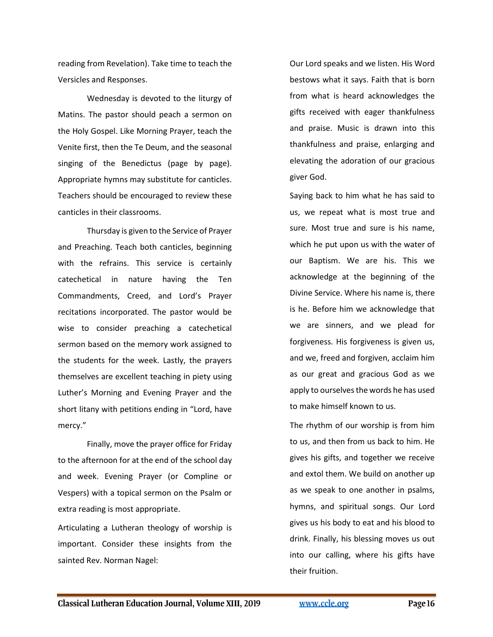reading from Revelation). Take time to teach the Versicles and Responses.

Wednesday is devoted to the liturgy of Matins. The pastor should peach a sermon on the Holy Gospel. Like Morning Prayer, teach the Venite first, then the Te Deum, and the seasonal singing of the Benedictus (page by page). Appropriate hymns may substitute for canticles. Teachers should be encouraged to review these canticles in their classrooms.

Thursday is given to the Service of Prayer and Preaching. Teach both canticles, beginning with the refrains. This service is certainly catechetical in nature having the Ten Commandments, Creed, and Lord's Prayer recitations incorporated. The pastor would be wise to consider preaching a catechetical sermon based on the memory work assigned to the students for the week. Lastly, the prayers themselves are excellent teaching in piety using Luther's Morning and Evening Prayer and the short litany with petitions ending in "Lord, have mercy."

Finally, move the prayer office for Friday to the afternoon for at the end of the school day and week. Evening Prayer (or Compline or Vespers) with a topical sermon on the Psalm or extra reading is most appropriate.

Articulating a Lutheran theology of worship is important. Consider these insights from the sainted Rev. Norman Nagel:

Our Lord speaks and we listen. His Word bestows what it says. Faith that is born from what is heard acknowledges the gifts received with eager thankfulness and praise. Music is drawn into this thankfulness and praise, enlarging and elevating the adoration of our gracious giver God.

Saying back to him what he has said to us, we repeat what is most true and sure. Most true and sure is his name, which he put upon us with the water of our Baptism. We are his. This we acknowledge at the beginning of the Divine Service. Where his name is, there is he. Before him we acknowledge that we are sinners, and we plead for forgiveness. His forgiveness is given us, and we, freed and forgiven, acclaim him as our great and gracious God as we apply to ourselves the words he has used to make himself known to us.

The rhythm of our worship is from him to us, and then from us back to him. He gives his gifts, and together we receive and extol them. We build on another up as we speak to one another in psalms, hymns, and spiritual songs. Our Lord gives us his body to eat and his blood to drink. Finally, his blessing moves us out into our calling, where his gifts have their fruition.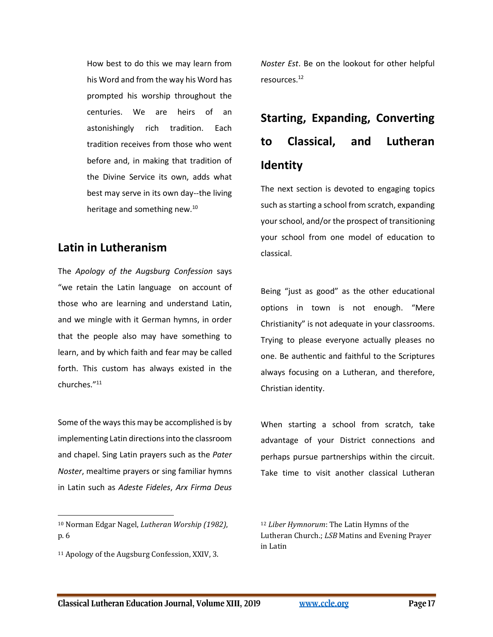How best to do this we may learn from his Word and from the way his Word has prompted his worship throughout the centuries. We are heirs of an astonishingly rich tradition. Each tradition receives from those who went before and, in making that tradition of the Divine Service its own, adds what best may serve in its own day--the living heritage and something new.<sup>10</sup>

## **Latin in Lutheranism**

The *Apology of the Augsburg Confession* says "we retain the Latin language on account of those who are learning and understand Latin, and we mingle with it German hymns, in order that the people also may have something to learn, and by which faith and fear may be called forth. This custom has always existed in the churches." 11

Some of the ways this may be accomplished is by implementing Latin directions into the classroom and chapel. Sing Latin prayers such as the *Pater Noster*, mealtime prayers or sing familiar hymns in Latin such as *Adeste Fideles*, *Arx Firma Deus* 

<sup>10</sup> Norman Edgar Nagel, *Lutheran Worship (1982)*, p. 6

<sup>11</sup> Apology of the Augsburg Confession, XXIV, 3.

*Noster Est*. Be on the lookout for other helpful resources.<sup>12</sup>

# **Starting, Expanding, Converting to Classical, and Lutheran Identity**

The next section is devoted to engaging topics such as starting a school from scratch, expanding your school, and/or the prospect of transitioning your school from one model of education to classical.

Being "just as good" as the other educational options in town is not enough. "Mere Christianity" is not adequate in your classrooms. Trying to please everyone actually pleases no one. Be authentic and faithful to the Scriptures always focusing on a Lutheran, and therefore, Christian identity.

When starting a school from scratch, take advantage of your District connections and perhaps pursue partnerships within the circuit. Take time to visit another classical Lutheran

<sup>12</sup> *Liber Hymnorum*: The Latin Hymns of the Lutheran Church.; *LSB* Matins and Evening Prayer in Latin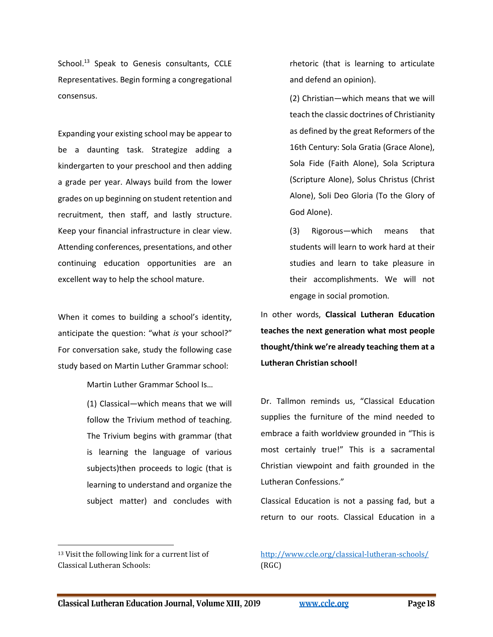School.<sup>13</sup> Speak to Genesis consultants, CCLE Representatives. Begin forming a congregational consensus.

Expanding your existing school may be appear to be a daunting task. Strategize adding a kindergarten to your preschool and then adding a grade per year. Always build from the lower grades on up beginning on student retention and recruitment, then staff, and lastly structure. Keep your financial infrastructure in clear view. Attending conferences, presentations, and other continuing education opportunities are an excellent way to help the school mature.

When it comes to building a school's identity, anticipate the question: "what *is* your school?" For conversation sake, study the following case study based on Martin Luther Grammar school:

Martin Luther Grammar School Is…

(1) Classical—which means that we will follow the Trivium method of teaching. The Trivium begins with grammar (that is learning the language of various subjects)then proceeds to logic (that is learning to understand and organize the subject matter) and concludes with

<sup>13</sup> Visit the following link for a current list of Classical Lutheran Schools:

rhetoric (that is learning to articulate and defend an opinion).

(2) Christian—which means that we will teach the classic doctrines of Christianity as defined by the great Reformers of the 16th Century: Sola Gratia (Grace Alone), Sola Fide (Faith Alone), Sola Scriptura (Scripture Alone), Solus Christus (Christ Alone), Soli Deo Gloria (To the Glory of God Alone).

(3) Rigorous—which means that students will learn to work hard at their studies and learn to take pleasure in their accomplishments. We will not engage in social promotion.

In other words, **Classical Lutheran Education teaches the next generation what most people thought/think we're already teaching them at a Lutheran Christian school!**

Dr. Tallmon reminds us, "Classical Education supplies the furniture of the mind needed to embrace a faith worldview grounded in "This is most certainly true!" This is a sacramental Christian viewpoint and faith grounded in the Lutheran Confessions."

Classical Education is not a passing fad, but a return to our roots. Classical Education in a

#### <http://www.ccle.org/classical-lutheran-schools/> (RGC)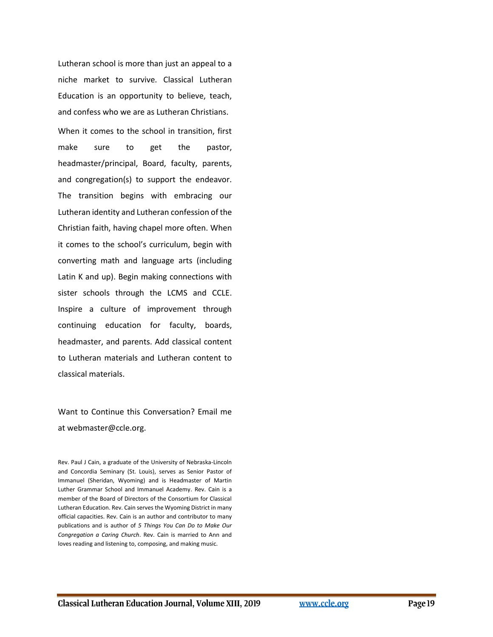Lutheran school is more than just an appeal to a niche market to survive. Classical Lutheran Education is an opportunity to believe, teach, and confess who we are as Lutheran Christians. When it comes to the school in transition, first make sure to get the pastor, headmaster/principal, Board, faculty, parents, and congregation(s) to support the endeavor. The transition begins with embracing our Lutheran identity and Lutheran confession of the Christian faith, having chapel more often. When it comes to the school's curriculum, begin with converting math and language arts (including Latin K and up). Begin making connections with sister schools through the LCMS and CCLE. Inspire a culture of improvement through continuing education for faculty, boards, headmaster, and parents. Add classical content to Lutheran materials and Lutheran content to classical materials.

Want to Continue this Conversation? Email me at webmaster@ccle.org.

Rev. Paul J Cain, a graduate of the University of Nebraska-Lincoln and Concordia Seminary (St. Louis), serves as Senior Pastor of Immanuel (Sheridan, Wyoming) and is Headmaster of Martin Luther Grammar School and Immanuel Academy. Rev. Cain is a member of the Board of Directors of the Consortium for Classical Lutheran Education. Rev. Cain serves the Wyoming District in many official capacities. Rev. Cain is an author and contributor to many publications and is author of *5 Things You Can Do to Make Our Congregation a Caring Church*. Rev. Cain is married to Ann and loves reading and listening to, composing, and making music.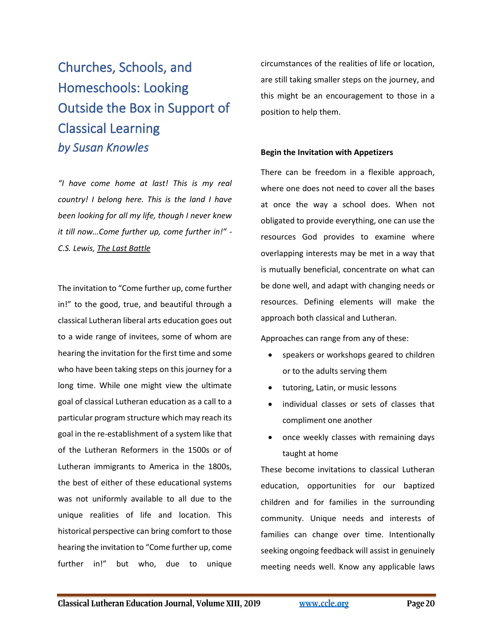# <span id="page-19-0"></span>Churches, Schools, and Homeschools: Looking Outside the Box in Support of Classical Learning *by Susan Knowles*

*"I have come home at last! This is my real country! I belong here. This is the land I have been looking for all my life, though I never knew it till now…Come further up, come further in!" - C.S. Lewis, The Last Battle*

The invitation to "Come further up, come further in!" to the good, true, and beautiful through a classical Lutheran liberal arts education goes out to a wide range of invitees, some of whom are hearing the invitation for the first time and some who have been taking steps on this journey for a long time. While one might view the ultimate goal of classical Lutheran education as a call to a particular program structure which may reach its goal in the re-establishment of a system like that of the Lutheran Reformers in the 1500s or of Lutheran immigrants to America in the 1800s, the best of either of these educational systems was not uniformly available to all due to the unique realities of life and location. This historical perspective can bring comfort to those hearing the invitation to "Come further up, come further in!" but who, due to unique

circumstances of the realities of life or location, are still taking smaller steps on the journey, and this might be an encouragement to those in a position to help them.

#### **Begin the Invitation with Appetizers**

There can be freedom in a flexible approach, where one does not need to cover all the bases at once the way a school does. When not obligated to provide everything, one can use the resources God provides to examine where overlapping interests may be met in a way that is mutually beneficial, concentrate on what can be done well, and adapt with changing needs or resources. Defining elements will make the approach both classical and Lutheran.

Approaches can range from any of these:

- speakers or workshops geared to children or to the adults serving them
- tutoring, Latin, or music lessons
- individual classes or sets of classes that compliment one another
- once weekly classes with remaining days taught at home

These become invitations to classical Lutheran education, opportunities for our baptized children and for families in the surrounding community. Unique needs and interests of families can change over time. Intentionally seeking ongoing feedback will assist in genuinely meeting needs well. Know any applicable laws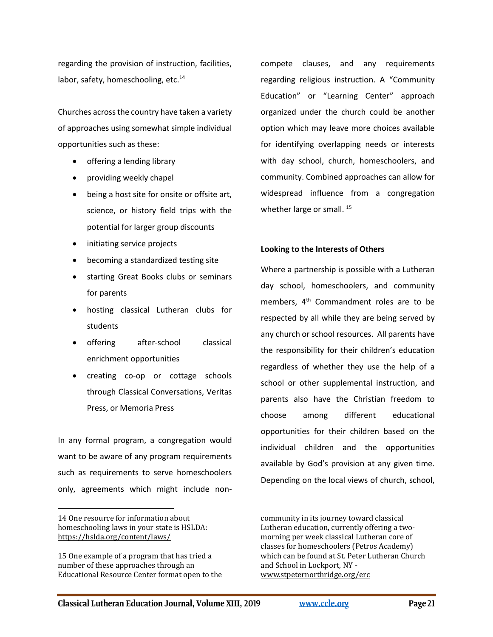regarding the provision of instruction, facilities, labor, safety, homeschooling, etc.<sup>14</sup>

Churches across the country have taken a variety of approaches using somewhat simple individual opportunities such as these:

- offering a lending library
- providing weekly chapel
- being a host site for onsite or offsite art, science, or history field trips with the potential for larger group discounts
- initiating service projects
- becoming a standardized testing site
- starting Great Books clubs or seminars for parents
- hosting classical Lutheran clubs for students
- offering after-school classical enrichment opportunities
- creating co-op or cottage schools through Classical Conversations, Veritas Press, or Memoria Press

In any formal program, a congregation would want to be aware of any program requirements such as requirements to serve homeschoolers only, agreements which might include noncompete clauses, and any requirements regarding religious instruction. A "Community Education" or "Learning Center" approach organized under the church could be another option which may leave more choices available for identifying overlapping needs or interests with day school, church, homeschoolers, and community. Combined approaches can allow for widespread influence from a congregation whether large or small.<sup>15</sup>

#### **Looking to the Interests of Others**

Where a partnership is possible with a Lutheran day school, homeschoolers, and community members,  $4<sup>th</sup>$  Commandment roles are to be respected by all while they are being served by any church or school resources. All parents have the responsibility for their children's education regardless of whether they use the help of a school or other supplemental instruction, and parents also have the Christian freedom to choose among different educational opportunities for their children based on the individual children and the opportunities available by God's provision at any given time. Depending on the local views of church, school,

<sup>14</sup> One resource for information about homeschooling laws in your state is HSLDA: <https://hslda.org/content/laws/>

<sup>15</sup> One example of a program that has tried a number of these approaches through an Educational Resource Center format open to the

community in its journey toward classical Lutheran education, currently offering a twomorning per week classical Lutheran core of classes for homeschoolers (Petros Academy) which can be found at St. Peter Lutheran Church and School in Lockport, NY [www.stpeternorthridge.org/erc](http://www.stpeternorthridge.org/erc)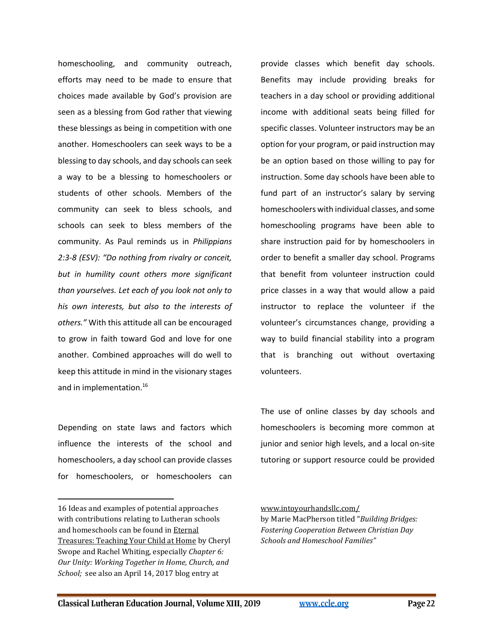homeschooling, and community outreach, efforts may need to be made to ensure that choices made available by God's provision are seen as a blessing from God rather that viewing these blessings as being in competition with one another. Homeschoolers can seek ways to be a blessing to day schools, and day schools can seek a way to be a blessing to homeschoolers or students of other schools. Members of the community can seek to bless schools, and schools can seek to bless members of the community. As Paul reminds us in *Philippians 2:3-8 (ESV): "Do nothing from rivalry or conceit, but in humility count others more significant than yourselves. Let each of you look not only to his own interests, but also to the interests of others."* With this attitude all can be encouraged to grow in faith toward God and love for one another. Combined approaches will do well to keep this attitude in mind in the visionary stages and in implementation.<sup>16</sup>

Depending on state laws and factors which influence the interests of the school and homeschoolers, a day school can provide classes for homeschoolers, or homeschoolers can

provide classes which benefit day schools. Benefits may include providing breaks for teachers in a day school or providing additional income with additional seats being filled for specific classes. Volunteer instructors may be an option for your program, or paid instruction may be an option based on those willing to pay for instruction. Some day schools have been able to fund part of an instructor's salary by serving homeschoolers with individual classes, and some homeschooling programs have been able to share instruction paid for by homeschoolers in order to benefit a smaller day school. Programs that benefit from volunteer instruction could price classes in a way that would allow a paid instructor to replace the volunteer if the volunteer's circumstances change, providing a way to build financial stability into a program that is branching out without overtaxing volunteers.

The use of online classes by day schools and homeschoolers is becoming more common at junior and senior high levels, and a local on-site tutoring or support resource could be provided

<sup>16</sup> Ideas and examples of potential approaches with contributions relating to Lutheran schools and homeschools can be found in Eternal Treasures: Teaching Your Child at Home by Cheryl Swope and Rachel Whiting, especially *Chapter 6: Our Unity: Working Together in Home, Church, and School;* [see also an April 14, 2017 blog entry at](http://www.intoyourhandsllc.com/-building-bridges-fostering-cooperation-between-christian-day-schools-and-homeschool-families.html) 

[www.intoyourhandsllc.com/](http://www.intoyourhandsllc.com/-building-bridges-fostering-cooperation-between-christian-day-schools-and-homeschool-families.html) by Marie MacPherson titled "*Building Bridges:* 

*Fostering Cooperation Between Christian Day Schools and Homeschool Families"*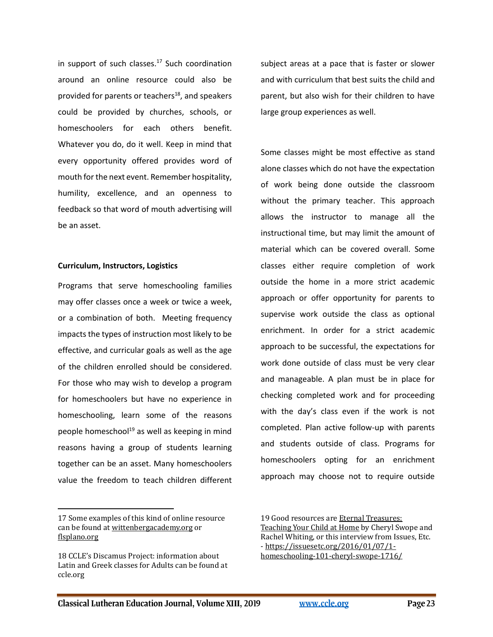in support of such classes.<sup>17</sup> Such coordination around an online resource could also be provided for parents or teachers<sup>18</sup>, and speakers could be provided by churches, schools, or homeschoolers for each others benefit. Whatever you do, do it well. Keep in mind that every opportunity offered provides word of mouth for the next event. Remember hospitality, humility, excellence, and an openness to feedback so that word of mouth advertising will be an asset.

#### **Curriculum, Instructors, Logistics**

Programs that serve homeschooling families may offer classes once a week or twice a week, or a combination of both. Meeting frequency impacts the types of instruction most likely to be effective, and curricular goals as well as the age of the children enrolled should be considered. For those who may wish to develop a program for homeschoolers but have no experience in homeschooling, learn some of the reasons people homeschool $19$  as well as keeping in mind reasons having a group of students learning together can be an asset. Many homeschoolers value the freedom to teach children different

subject areas at a pace that is faster or slower and with curriculum that best suits the child and parent, but also wish for their children to have large group experiences as well.

Some classes might be most effective as stand alone classes which do not have the expectation of work being done outside the classroom without the primary teacher. This approach allows the instructor to manage all the instructional time, but may limit the amount of material which can be covered overall. Some classes either require completion of work outside the home in a more strict academic approach or offer opportunity for parents to supervise work outside the class as optional enrichment. In order for a strict academic approach to be successful, the expectations for work done outside of class must be very clear and manageable. A plan must be in place for checking completed work and for proceeding with the day's class even if the work is not completed. Plan active follow-up with parents and students outside of class. Programs for homeschoolers opting for an enrichment approach may choose not to require outside

<sup>17</sup> Some examples of this kind of online resource can be found at [wittenbergacademy.org](file:///C:/Users/User/AppData/Local/Microsoft/Windows/INetCache/Content.Outlook/8X9ZDXF3/wittenbergacademy.org) or [flsplano.org](http://www.flsplano.org/)

<sup>18</sup> CCLE's Discamus Project: information about Latin and Greek classes for Adults can be found at ccle.org

<sup>19</sup> Good resources are Eternal Treasures: Teaching Your Child at Home by Cheryl Swope and Rachel Whiting, or this interview from Issues, Etc. - [https://issuesetc.org/2016/01/07/1](https://issuesetc.org/2016/01/07/1-homeschooling-101-cheryl-swope-1716/) [homeschooling-101-cheryl-swope-1716/](https://issuesetc.org/2016/01/07/1-homeschooling-101-cheryl-swope-1716/)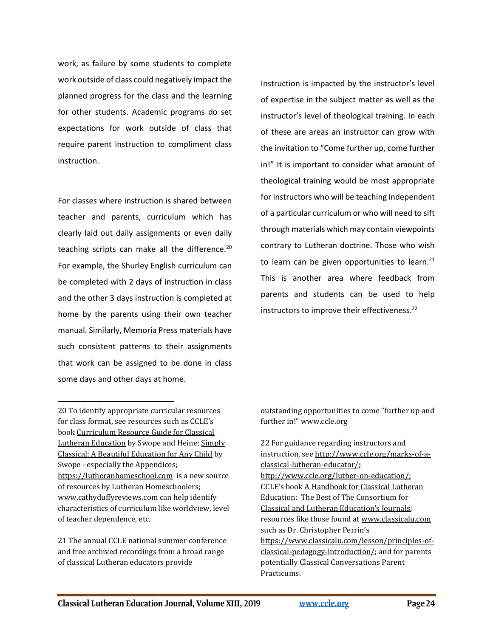work, as failure by some students to complete work outside of class could negatively impact the planned progress for the class and the learning for other students. Academic programs do set expectations for work outside of class that require parent instruction to compliment class instruction.

For classes where instruction is shared between teacher and parents, curriculum which has clearly laid out daily assignments or even daily teaching scripts can make all the difference.<sup>20</sup> For example, the Shurley English curriculum can be completed with 2 days of instruction in class and the other 3 days instruction is completed at home by the parents using their own teacher manual. Similarly, Memoria Press materials have such consistent patterns to their assignments that work can be assigned to be done in class some days and other days at home.

20 To identify appropriate curricular resources for class format, see resources such as CCLE's book Curriculum Resource Guide for Classical Lutheran Education by Swope and Heine; Simply Classical: A Beautiful Education for Any Child by Swope - especially the Appendices; [https://lutheranhomeschool.com](https://lutheranhomeschool.com/) is a new source of resources by Lutheran Homeschoolers; [www.cathyduffyreviews.com](http://www.cathyduffyreviews.com/) can help identify characteristics of curriculum like worldview, level of teacher dependence, etc.

21 The annual CCLE national summer conference and free archived recordings from a broad range of classical Lutheran educators provide

Instruction is impacted by the instructor's level of expertise in the subject matter as well as the instructor's level of theological training. In each of these are areas an instructor can grow with the invitation to "Come further up, come further in!" It is important to consider what amount of theological training would be most appropriate for instructors who will be teaching independent of a particular curriculum or who will need to sift through materials which may contain viewpoints contrary to Lutheran doctrine. Those who wish to learn can be given opportunities to learn. $21$ This is another area where feedback from parents and students can be used to help instructors to improve their effectiveness.<sup>22</sup>

outstanding opportunities to come "further up and further in!" www.ccle.org

22 For guidance regarding instructors and instruction, se[e http://www.ccle.org/marks-of-a](http://www.ccle.org/marks-of-a-classical-lutheran-educator/)[classical-lutheran-educator/](http://www.ccle.org/marks-of-a-classical-lutheran-educator/)**;**  [http://www.ccle.org/luther-on-education/;](http://www.ccle.org/luther-on-education/) CCLE's book A Handbook for Classical Lutheran Education: The Best of The Consortium for Classical and Lutheran Education's Journals; resources like those found at [www.classicalu.com](http://www.classicalu.com/) such as Dr. Christopher Perrin's [https://www.classicalu.com/lesson/principles-of](https://www.classicalu.com/lesson/principles-of-classical-pedagogy-introduction/)[classical-pedagogy-introduction/;](https://www.classicalu.com/lesson/principles-of-classical-pedagogy-introduction/) and for parents potentially Classical Conversations Parent Practicums.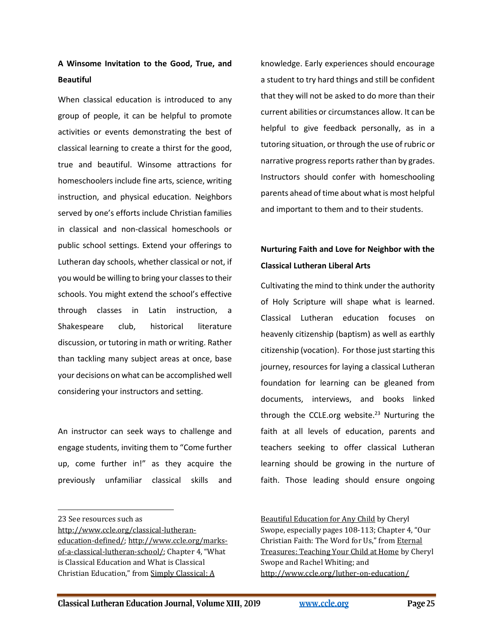## **A Winsome Invitation to the Good, True, and Beautiful**

When classical education is introduced to any group of people, it can be helpful to promote activities or events demonstrating the best of classical learning to create a thirst for the good, true and beautiful. Winsome attractions for homeschoolers include fine arts, science, writing instruction, and physical education. Neighbors served by one's efforts include Christian families in classical and non-classical homeschools or public school settings. Extend your offerings to Lutheran day schools, whether classical or not, if you would be willing to bring your classes to their schools. You might extend the school's effective through classes in Latin instruction, a Shakespeare club, historical literature discussion, or tutoring in math or writing. Rather than tackling many subject areas at once, base your decisions on what can be accomplished well considering your instructors and setting.

An instructor can seek ways to challenge and engage students, inviting them to "Come further up, come further in!" as they acquire the previously unfamiliar classical skills and

[http://www.ccle.org/classical-lutheran-](http://www.ccle.org/classical-lutheran-education-defined/)

knowledge. Early experiences should encourage a student to try hard things and still be confident that they will not be asked to do more than their current abilities or circumstances allow. It can be helpful to give feedback personally, as in a tutoring situation, or through the use of rubric or narrative progress reports rather than by grades. Instructors should confer with homeschooling parents ahead of time about what is most helpful and important to them and to their students.

## **Nurturing Faith and Love for Neighbor with the Classical Lutheran Liberal Arts**

Cultivating the mind to think under the authority of Holy Scripture will shape what is learned. Classical Lutheran education focuses on heavenly citizenship (baptism) as well as earthly citizenship (vocation). For those just starting this journey, resources for laying a classical Lutheran foundation for learning can be gleaned from documents, interviews, and books linked through the CCLE.org website. $23$  Nurturing the faith at all levels of education, parents and teachers seeking to offer classical Lutheran learning should be growing in the nurture of faith. Those leading should ensure ongoing

Beautiful Education for Any Child by Cheryl Swope, especially pages 108-113; Chapter 4, "Our Christian Faith: The Word for Us," from Eternal Treasures: Teaching Your Child at Home by Cheryl Swope and Rachel Whiting; and <http://www.ccle.org/luther-on-education/>

<sup>23</sup> See resources such as

[education-defined/;](http://www.ccle.org/classical-lutheran-education-defined/) [http://www.ccle.org/marks](http://www.ccle.org/marks-of-a-classical-lutheran-school/)[of-a-classical-lutheran-school/](http://www.ccle.org/marks-of-a-classical-lutheran-school/); Chapter 4, "What is Classical Education and What is Classical Christian Education," from Simply Classical: A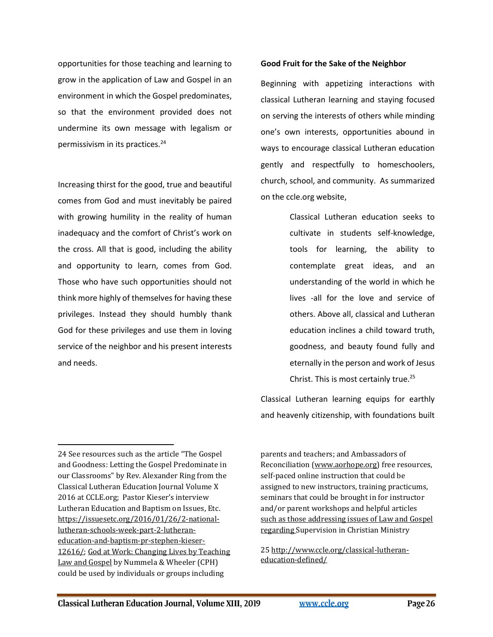opportunities for those teaching and learning to grow in the application of Law and Gospel in an environment in which the Gospel predominates, so that the environment provided does not undermine its own message with legalism or permissivism in its practices.<sup>24</sup>

Increasing thirst for the good, true and beautiful comes from God and must inevitably be paired with growing humility in the reality of human inadequacy and the comfort of Christ's work on the cross. All that is good, including the ability and opportunity to learn, comes from God. Those who have such opportunities should not think more highly of themselves for having these privileges. Instead they should humbly thank God for these privileges and use them in loving service of the neighbor and his present interests and needs.

#### **Good Fruit for the Sake of the Neighbor**

Beginning with appetizing interactions with classical Lutheran learning and staying focused on serving the interests of others while minding one's own interests, opportunities abound in ways to encourage classical Lutheran education gently and respectfully to homeschoolers, church, school, and community. As summarized on the ccle.org website,

> Classical Lutheran education seeks to cultivate in students self-knowledge, tools for learning, the ability to contemplate great ideas, and an understanding of the world in which he lives -all for the love and service of others. Above all, classical and Lutheran education inclines a child toward truth, goodness, and beauty found fully and eternally in the person and work of Jesus Christ. This is most certainly true.<sup>25</sup>

Classical Lutheran learning equips for earthly and heavenly citizenship, with foundations built

parents and teachers; and Ambassadors of Reconciliation [\(www.aorhope.org\)](http://www.aorhope.org/) free resources, self-paced online instruction that could be assigned to new instructors, training practicums, seminars that could be brought in for instructor and/or parent workshops and helpful articles such as those addressing issues of Law and Gospel regarding Supervision in Christian Ministry

25 [http://www.ccle.org/classical-lutheran](http://www.ccle.org/classical-lutheran-education-defined/)[education-defined/](http://www.ccle.org/classical-lutheran-education-defined/)

<sup>24</sup> See resources such as the article "The Gospel and Goodness: Letting the Gospel Predominate in our Classrooms" by Rev. Alexander Ring from the Classical Lutheran Education Journal Volume X 2016 at CCLE.org; Pastor Kieser's interview Lutheran Education and Baptism on Issues, Etc. [https://issuesetc.org/2016/01/26/2-national](https://issuesetc.org/2016/01/26/2-national-lutheran-schools-week-part-2-lutheran-education-and-baptism-pr-stephen-kieser-12616/)[lutheran-schools-week-part-2-lutheran](https://issuesetc.org/2016/01/26/2-national-lutheran-schools-week-part-2-lutheran-education-and-baptism-pr-stephen-kieser-12616/)[education-and-baptism-pr-stephen-kieser-](https://issuesetc.org/2016/01/26/2-national-lutheran-schools-week-part-2-lutheran-education-and-baptism-pr-stephen-kieser-12616/)[12616/;](https://issuesetc.org/2016/01/26/2-national-lutheran-schools-week-part-2-lutheran-education-and-baptism-pr-stephen-kieser-12616/) God at Work: Changing Lives by Teaching Law and Gospel by Nummela & Wheeler (CPH) could be used by individuals or groups including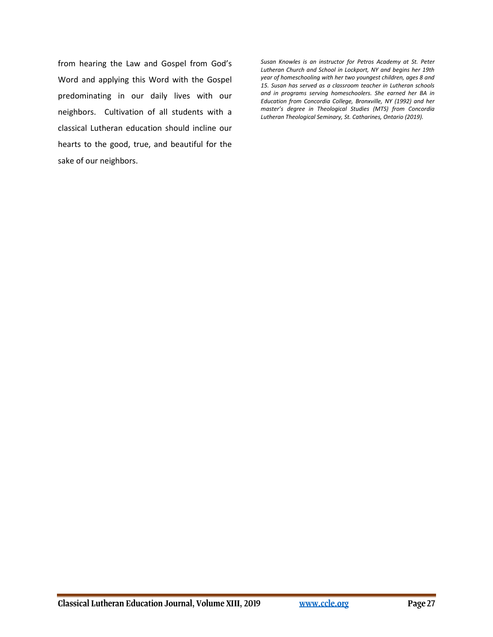from hearing the Law and Gospel from God's Word and applying this Word with the Gospel predominating in our daily lives with our neighbors. Cultivation of all students with a classical Lutheran education should incline our hearts to the good, true, and beautiful for the sake of our neighbors.

*Susan Knowles is an instructor for Petros Academy at St. Peter Lutheran Church and School in Lockport, NY and begins her 19th year of homeschooling with her two youngest children, ages 8 and 15. Susan has served as a classroom teacher in Lutheran schools and in programs serving homeschoolers. She earned her BA in Education from Concordia College, Bronxville, NY (1992) and her master's degree in Theological Studies (MTS) from Concordia Lutheran Theological Seminary, St. Catharines, Ontario (2019).*